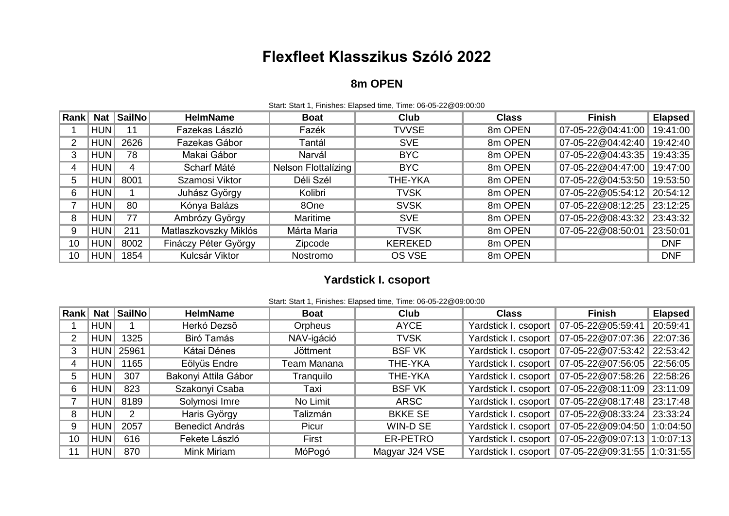# **Flexfleet Klasszikus Szóló 2022**

### **8m OPEN**

| Rank | <b>Nat</b> | SailNo | <b>HelmName</b>       | <b>Boat</b>         | <b>Club</b>    | <b>Class</b> | <b>Finish</b>     | <b>Elapsed</b> |  |
|------|------------|--------|-----------------------|---------------------|----------------|--------------|-------------------|----------------|--|
|      | HUN        | 11     | Fazekas László        | Fazék               | <b>TVVSE</b>   | 8m OPEN      | 07-05-22@04:41:00 | 19:41:00       |  |
| 2    | <b>HUN</b> | 2626   | Fazekas Gábor         | Tantál              | <b>SVE</b>     | 8m OPEN      | 07-05-22@04:42:40 | 19:42:40       |  |
| 3    | <b>HUN</b> | 78     | Makai Gábor           | Narvál              | <b>BYC</b>     | 8m OPEN      | 07-05-22@04:43:35 | 19:43:35       |  |
| 4    | HUN        | 4      | Scharf Máté           | Nelson Flottalizing | <b>BYC</b>     | 8m OPEN      | 07-05-22@04:47:00 | 19:47:00       |  |
| 5    | <b>HUN</b> | 8001   | Szamosi Viktor        | Déli Szél           | THE-YKA        | 8m OPEN      | 07-05-22@04:53:50 | 19:53:50       |  |
| 6    | HUN        |        | Juhász György         | Kolibri             | <b>TVSK</b>    | 8m OPEN      | 07-05-22@05:54:12 | 20:54:12       |  |
|      | <b>HUN</b> | 80     | Kónya Balázs          | 8One                | <b>SVSK</b>    | 8m OPEN      | 07-05-22@08:12:25 | 23:12:25       |  |
| 8    | HUN        | 77     | Ambrózy György        | Maritime            | <b>SVE</b>     | 8m OPEN      | 07-05-22@08:43:32 | 23:43:32       |  |
| 9    | <b>HUN</b> | 211    | Matlaszkovszky Miklós | Márta Maria         | <b>TVSK</b>    | 8m OPEN      | 07-05-22@08:50:01 | 23:50:01       |  |
| 10   | <b>HUN</b> | 8002   | Fináczy Péter György  | Zipcode             | <b>KEREKED</b> | 8m OPEN      |                   | <b>DNF</b>     |  |
| 10   | <b>HUN</b> | 1854   | Kulcsár Viktor        | <b>Nostromo</b>     | OS VSE         | 8m OPEN      |                   | <b>DNF</b>     |  |

#### Start: Start 1, Finishes: Elapsed time, Time: 06-05-22@09:00:00

### **Yardstick I. csoport**

Start: Start 1, Finishes: Elapsed time, Time: 06-05-22@09:00:00

| Rank | <b>Nat</b> | SailNo | <b>HelmName</b>        | <b>Boat</b>     | <b>Club</b>    | <b>Class</b>         | <b>Finish</b>     | <b>Elapsed</b> |
|------|------------|--------|------------------------|-----------------|----------------|----------------------|-------------------|----------------|
|      | <b>HUN</b> |        | Herkó Dezső            | Orpheus         | <b>AYCE</b>    | Yardstick I. csoport | 07-05-22@05:59:41 | 20:59:41       |
|      | <b>HUN</b> | 1325   | Biró Tamás             | NAV-igáció      | <b>TVSK</b>    | Yardstick I. csoport | 07-05-22@07:07:36 | 22:07:36       |
| 3    | <b>HUN</b> | 25961  | Kátai Dénes            | <b>Jöttment</b> | <b>BSF VK</b>  | Yardstick I. csoport | 07-05-22@07:53:42 | 22:53:42       |
| 4    | <b>HUN</b> | 1165   | Eölyüs Endre           | Team Manana     | THE-YKA        | Yardstick I. csoport | 07-05-22@07:56:05 | 22:56:05       |
| 5    | HUN        | 307    | Bakonyi Attila Gábor   | Tranquilo       | THE-YKA        | Yardstick I. csoport | 07-05-22@07:58:26 | 22:58:26       |
| 6    | <b>HUN</b> | 823    | Szakonyi Csaba         | Taxi            | <b>BSF VK</b>  | Yardstick I. csoport | 07-05-22@08:11:09 | 23:11:09       |
|      | <b>HUN</b> | 8189   | Solymosi Imre          | No Limit        | <b>ARSC</b>    | Yardstick I. csoport | 07-05-22@08:17:48 | 23:17:48       |
| 8    | <b>HUN</b> | 2      | Haris György           | Talizmán        | <b>BKKE SE</b> | Yardstick I. csoport | 07-05-22@08:33:24 | 23:33:24       |
| 9    | <b>HUN</b> | 2057   | <b>Benedict András</b> | Picur           | WIN-D SE       | Yardstick I. csoport | 07-05-22@09:04:50 | 1:0:04:50      |
| 10   | <b>HUN</b> | 616    | Fekete László          | First           | ER-PETRO       | Yardstick I. csoport | 07-05-22@09:07:13 | 1:0:07:13      |
| 11   | <b>HUN</b> | 870    | Mink Miriam            | MóPogó          | Magyar J24 VSE | Yardstick I. csoport | 07-05-22@09:31:55 | 1:0:31:55      |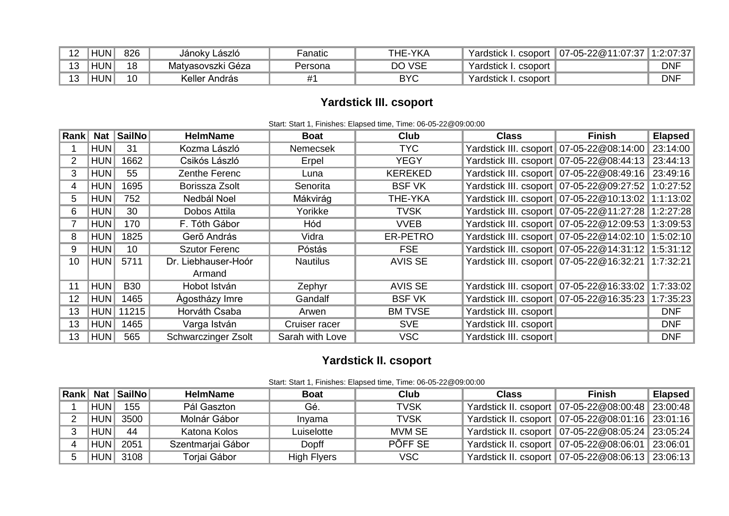| 1 0 | <b>HUN</b> | 826                           | Jánoky László     | Fanatic | THE-YKA    | Yardstick<br>. I. csoport | 07-05-22@11:07:37 | 1:2:07:37  |
|-----|------------|-------------------------------|-------------------|---------|------------|---------------------------|-------------------|------------|
| 1 O | <b>HUN</b> | 18                            | Matyasovszki Géza | Persona | DO VSE     | Yardstick I. csoport      |                   | <b>DNF</b> |
| 1 ລ | HUN.       | $\overline{A}$ $\overline{C}$ | Keller András     |         | <b>BYC</b> | Yardstick I. csoport      |                   | <b>DNF</b> |

# **Yardstick III. csoport**

| Rank <sup> </sup> | <b>Nat</b> | SailNo     | <b>HelmName</b>               | <b>Boat</b>     | Club           | <b>Class</b>           | Finish                                                 | <b>Elapsed</b> |  |  |
|-------------------|------------|------------|-------------------------------|-----------------|----------------|------------------------|--------------------------------------------------------|----------------|--|--|
|                   | <b>HUN</b> | 31         | Kozma László                  | <b>Nemecsek</b> | <b>TYC</b>     |                        | Yardstick III. csoport 07-05-22@08:14:00               | 23:14:00       |  |  |
| 2                 | <b>HUN</b> | 1662       | Csikós László                 | Erpel           | <b>YEGY</b>    |                        | Yardstick III. csoport 07-05-22@08:44:13               | 23:44:13       |  |  |
| 3                 | <b>HUN</b> | 55         | Zenthe Ferenc                 | Luna            | <b>KEREKED</b> |                        | Yardstick III. csoport 07-05-22@08:49:16               | 23:49:16       |  |  |
| 4                 | <b>HUN</b> | 1695       | Borissza Zsolt                | Senorita        | <b>BSF VK</b>  |                        | Yardstick III. csoport 07-05-22@09:27:52               | 1:0:27:52      |  |  |
| 5.                | <b>HUN</b> | 752        | Nedbál Noel                   | Mákvirág        | THE-YKA        |                        | Yardstick III. csoport 07-05-22@10:13:02               | 1:1:13:02      |  |  |
| 6                 | <b>HUN</b> | 30         | Dobos Attila                  | Yorikke         | <b>TVSK</b>    |                        | Yardstick III. csoport 07-05-22@11:27:28               | 1:2:27:28      |  |  |
|                   | <b>HUN</b> | 170        | F. Tóth Gábor                 | Hód             | <b>VVEB</b>    |                        | Yardstick III. csoport   07-05-22@12:09:53   1:3:09:53 |                |  |  |
| 8                 | <b>HUN</b> | 1825       | Gerõ András                   | Vidra           | ER-PETRO       |                        | Yardstick III. csoport 07-05-22@14:02:10 1:5:02:10     |                |  |  |
| 9                 | <b>HUN</b> | 10         | <b>Szutor Ferenc</b>          | Póstás          | <b>FSE</b>     |                        | Yardstick III. csoport 07-05-22@14:31:12 1:5:31:12     |                |  |  |
| 10                | <b>HUN</b> | 5711       | Dr. Liebhauser-Hoór<br>Armand | <b>Nautilus</b> | <b>AVIS SE</b> |                        | Yardstick III. csoport 07-05-22@16:32:21 1:7:32:21     |                |  |  |
|                   |            |            |                               |                 |                |                        |                                                        |                |  |  |
| 11                | <b>HUN</b> | <b>B30</b> | Hobot István                  | Zephyr          | <b>AVIS SE</b> |                        | Yardstick III. csoport 07-05-22@16:33:02               | 1:7:33:02      |  |  |
| 12                | <b>HUN</b> | 1465       | Ágostházy Imre                | Gandalf         | <b>BSF VK</b>  |                        | Yardstick III. csoport   07-05-22@16:35:23             | 1:7:35:23      |  |  |
| 13                | <b>HUN</b> | 11215      | Horváth Csaba                 | Arwen           | <b>BM TVSE</b> | Yardstick III. csoport |                                                        | <b>DNF</b>     |  |  |
| 13                | <b>HUN</b> | 1465       | Varga István                  | Cruiser racer   | <b>SVE</b>     | Yardstick III. csoport |                                                        | <b>DNF</b>     |  |  |
| 13                | <b>HUN</b> | 565        | Schwarczinger Zsolt           | Sarah with Love | <b>VSC</b>     | Yardstick III. csoport |                                                        | <b>DNF</b>     |  |  |

#### Start: Start 1, Finishes: Elapsed time, Time: 06-05-22@09:00:00

## **Yardstick II. csoport**

|  |  | Start: Start 1, Finishes: Elapsed time, Time: 06-05-22@09:00:00 |  |  |  |
|--|--|-----------------------------------------------------------------|--|--|--|
|--|--|-----------------------------------------------------------------|--|--|--|

|            | <b>Rank Nat SailNo</b> | <b>HelmName</b>   | <b>Boat</b> | Club        | <b>Class</b> | Finish                                               | Elapsed |
|------------|------------------------|-------------------|-------------|-------------|--------------|------------------------------------------------------|---------|
| <b>HUN</b> | 155                    | Pál Gaszton       | Gé.         | TVSK        |              | Yardstick II. csoport   07-05-22@08:00:48   23:00:48 |         |
| <b>HUN</b> | 3500                   | Molnár Gábor      | Invama      | <b>TVSK</b> |              | Yardstick II. csoport   07-05-22@08:01:16   23:01:16 |         |
| <b>HUN</b> | 44                     | Katona Kolos      | Luiselotte  | MVM SE      |              | Yardstick II. csoport   07-05-22@08:05:24   23:05:24 |         |
| <b>HUN</b> | 2051                   | Szentmarjai Gábor | Dopff       | PÕFF SE     |              | Yardstick II. csoport   07-05-22@08:06:01   23:06:01 |         |
| <b>HUN</b> | 3108                   | Toriai Gábor      | High Flyers | VSC         |              | Yardstick II. csoport   07-05-22@08:06:13   23:06:13 |         |